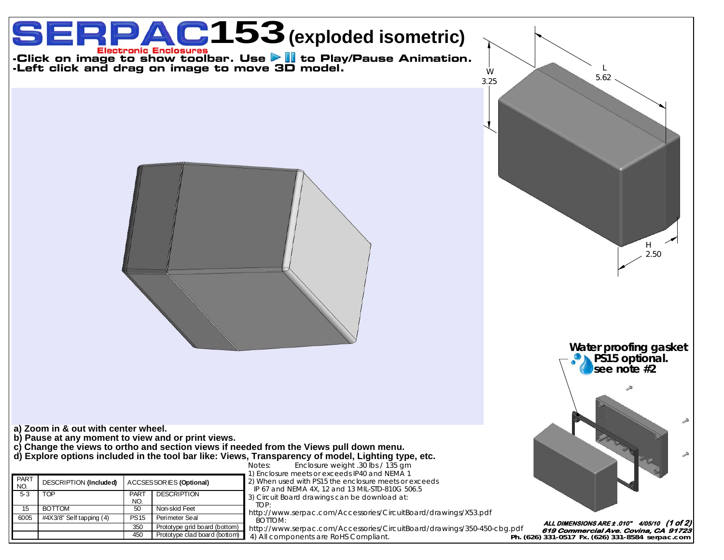